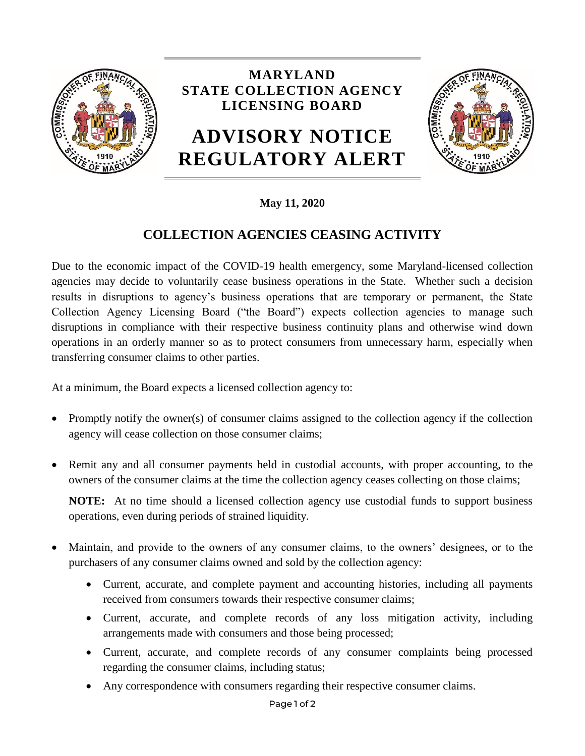

## **MARYLAND STATE COLLECTION AGENCY LICENSING BOARD**

## **ADVISORY NOTICE REGULATORY ALERT**



## **May 11, 2020**

## **COLLECTION AGENCIES CEASING ACTIVITY**

Due to the economic impact of the COVID-19 health emergency, some Maryland-licensed collection agencies may decide to voluntarily cease business operations in the State. Whether such a decision results in disruptions to agency's business operations that are temporary or permanent, the State Collection Agency Licensing Board ("the Board") expects collection agencies to manage such disruptions in compliance with their respective business continuity plans and otherwise wind down operations in an orderly manner so as to protect consumers from unnecessary harm, especially when transferring consumer claims to other parties.

At a minimum, the Board expects a licensed collection agency to:

- Promptly notify the owner(s) of consumer claims assigned to the collection agency if the collection agency will cease collection on those consumer claims;
- Remit any and all consumer payments held in custodial accounts, with proper accounting, to the owners of the consumer claims at the time the collection agency ceases collecting on those claims;

**NOTE:** At no time should a licensed collection agency use custodial funds to support business operations, even during periods of strained liquidity.

- Maintain, and provide to the owners of any consumer claims, to the owners' designees, or to the purchasers of any consumer claims owned and sold by the collection agency:
	- Current, accurate, and complete payment and accounting histories, including all payments received from consumers towards their respective consumer claims;
	- Current, accurate, and complete records of any loss mitigation activity, including arrangements made with consumers and those being processed;
	- Current, accurate, and complete records of any consumer complaints being processed regarding the consumer claims, including status;
	- Any correspondence with consumers regarding their respective consumer claims.